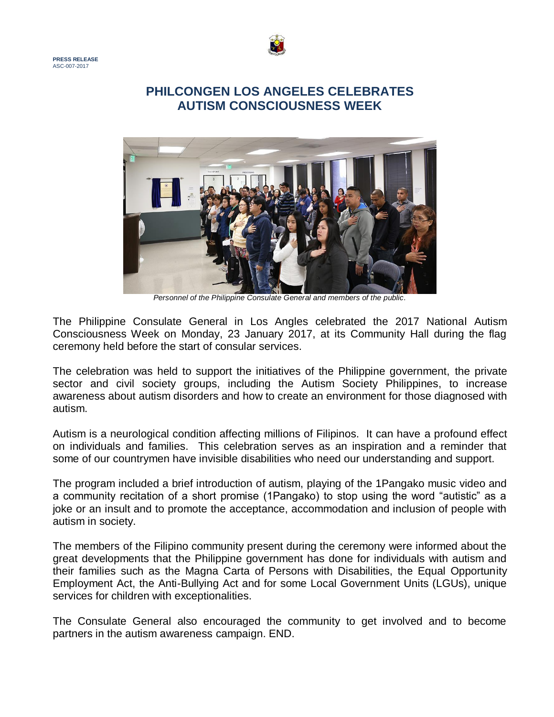



## **PHILCONGEN LOS ANGELES CELEBRATES AUTISM CONSCIOUSNESS WEEK**



*Personnel of the Philippine Consulate General and members of the public.*

The Philippine Consulate General in Los Angles celebrated the 2017 National Autism Consciousness Week on Monday, 23 January 2017, at its Community Hall during the flag ceremony held before the start of consular services.

The celebration was held to support the initiatives of the Philippine government, the private sector and civil society groups, including the Autism Society Philippines, to increase awareness about autism disorders and how to create an environment for those diagnosed with autism.

Autism is a neurological condition affecting millions of Filipinos. It can have a profound effect on individuals and families. This celebration serves as an inspiration and a reminder that some of our countrymen have invisible disabilities who need our understanding and support.

The program included a brief introduction of autism, playing of the 1Pangako music video and a community recitation of a short promise (1Pangako) to stop using the word "autistic" as a joke or an insult and to promote the acceptance, accommodation and inclusion of people with autism in society.

The members of the Filipino community present during the ceremony were informed about the great developments that the Philippine government has done for individuals with autism and their families such as the Magna Carta of Persons with Disabilities, the Equal Opportunity Employment Act, the Anti-Bullying Act and for some Local Government Units (LGUs), unique services for children with exceptionalities.

The Consulate General also encouraged the community to get involved and to become partners in the autism awareness campaign. END.